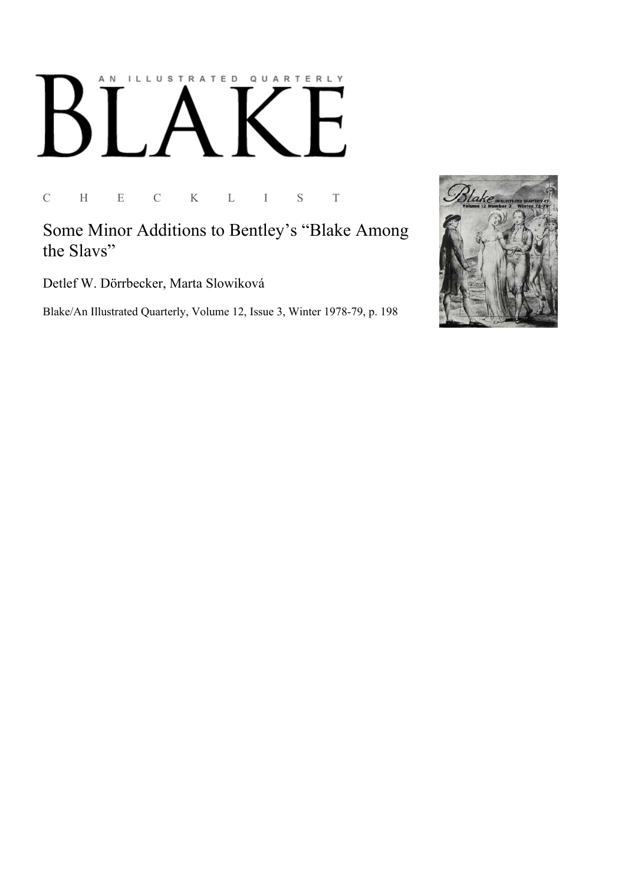# ILLUSTRATED QUARTERLY A N

C H E C K L I S T

Some Minor Additions to Bentley's "Blake Among the Slavs"

Detlef W. Dörrbecker, Marta Slowiková

Blake/An Illustrated Quarterly, Volume 12, Issue 3, Winter 1978-79, p. 198